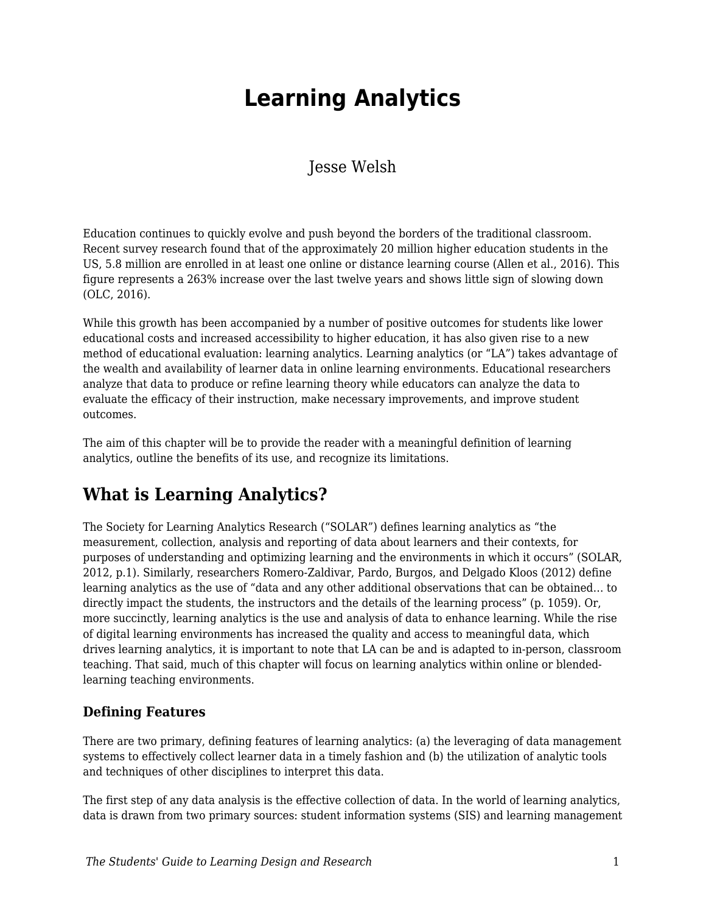# **Learning Analytics**

Jesse Welsh

Education continues to quickly evolve and push beyond the borders of the traditional classroom. Recent survey research found that of the approximately 20 million higher education students in the US, 5.8 million are enrolled in at least one online or distance learning course (Allen et al., 2016). This figure represents a 263% increase over the last twelve years and shows little sign of slowing down (OLC, 2016).

While this growth has been accompanied by a number of positive outcomes for students like lower educational costs and increased accessibility to higher education, it has also given rise to a new method of educational evaluation: learning analytics. Learning analytics (or "LA") takes advantage of the wealth and availability of learner data in online learning environments. Educational researchers analyze that data to produce or refine learning theory while educators can analyze the data to evaluate the efficacy of their instruction, make necessary improvements, and improve student outcomes.

The aim of this chapter will be to provide the reader with a meaningful definition of learning analytics, outline the benefits of its use, and recognize its limitations.

# **What is Learning Analytics?**

The Society for Learning Analytics Research ("SOLAR") defines learning analytics as "the measurement, collection, analysis and reporting of data about learners and their contexts, for purposes of understanding and optimizing learning and the environments in which it occurs" (SOLAR, 2012, p.1). Similarly, researchers Romero-Zaldivar, Pardo, Burgos, and Delgado Kloos (2012) define learning analytics as the use of "data and any other additional observations that can be obtained… to directly impact the students, the instructors and the details of the learning process" (p. 1059). Or, more succinctly, learning analytics is the use and analysis of data to enhance learning. While the rise of digital learning environments has increased the quality and access to meaningful data, which drives learning analytics, it is important to note that LA can be and is adapted to in-person, classroom teaching. That said, much of this chapter will focus on learning analytics within online or blendedlearning teaching environments.

#### **Defining Features**

There are two primary, defining features of learning analytics: (a) the leveraging of data management systems to effectively collect learner data in a timely fashion and (b) the utilization of analytic tools and techniques of other disciplines to interpret this data.

The first step of any data analysis is the effective collection of data. In the world of learning analytics, data is drawn from two primary sources: student information systems (SIS) and learning management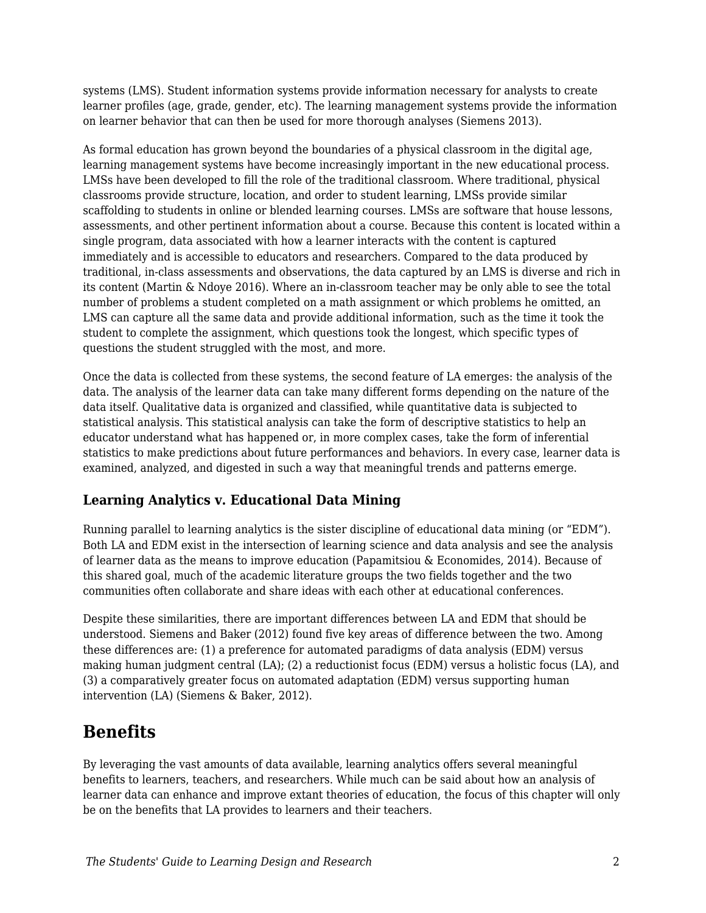systems (LMS). Student information systems provide information necessary for analysts to create learner profiles (age, grade, gender, etc). The learning management systems provide the information on learner behavior that can then be used for more thorough analyses (Siemens 2013).

As formal education has grown beyond the boundaries of a physical classroom in the digital age, learning management systems have become increasingly important in the new educational process. LMSs have been developed to fill the role of the traditional classroom. Where traditional, physical classrooms provide structure, location, and order to student learning, LMSs provide similar scaffolding to students in online or blended learning courses. LMSs are software that house lessons, assessments, and other pertinent information about a course. Because this content is located within a single program, data associated with how a learner interacts with the content is captured immediately and is accessible to educators and researchers. Compared to the data produced by traditional, in-class assessments and observations, the data captured by an LMS is diverse and rich in its content (Martin & Ndoye 2016). Where an in-classroom teacher may be only able to see the total number of problems a student completed on a math assignment or which problems he omitted, an LMS can capture all the same data and provide additional information, such as the time it took the student to complete the assignment, which questions took the longest, which specific types of questions the student struggled with the most, and more.

Once the data is collected from these systems, the second feature of LA emerges: the analysis of the data. The analysis of the learner data can take many different forms depending on the nature of the data itself. Qualitative data is organized and classified, while quantitative data is subjected to statistical analysis. This statistical analysis can take the form of descriptive statistics to help an educator understand what has happened or, in more complex cases, take the form of inferential statistics to make predictions about future performances and behaviors. In every case, learner data is examined, analyzed, and digested in such a way that meaningful trends and patterns emerge.

#### **Learning Analytics v. Educational Data Mining**

Running parallel to learning analytics is the sister discipline of educational data mining (or "EDM"). Both LA and EDM exist in the intersection of learning science and data analysis and see the analysis of learner data as the means to improve education (Papamitsiou & Economides, 2014). Because of this shared goal, much of the academic literature groups the two fields together and the two communities often collaborate and share ideas with each other at educational conferences.

Despite these similarities, there are important differences between LA and EDM that should be understood. Siemens and Baker (2012) found five key areas of difference between the two. Among these differences are: (1) a preference for automated paradigms of data analysis (EDM) versus making human judgment central (LA); (2) a reductionist focus (EDM) versus a holistic focus (LA), and (3) a comparatively greater focus on automated adaptation (EDM) versus supporting human intervention (LA) (Siemens & Baker, 2012).

### **Benefits**

By leveraging the vast amounts of data available, learning analytics offers several meaningful benefits to learners, teachers, and researchers. While much can be said about how an analysis of learner data can enhance and improve extant theories of education, the focus of this chapter will only be on the benefits that LA provides to learners and their teachers.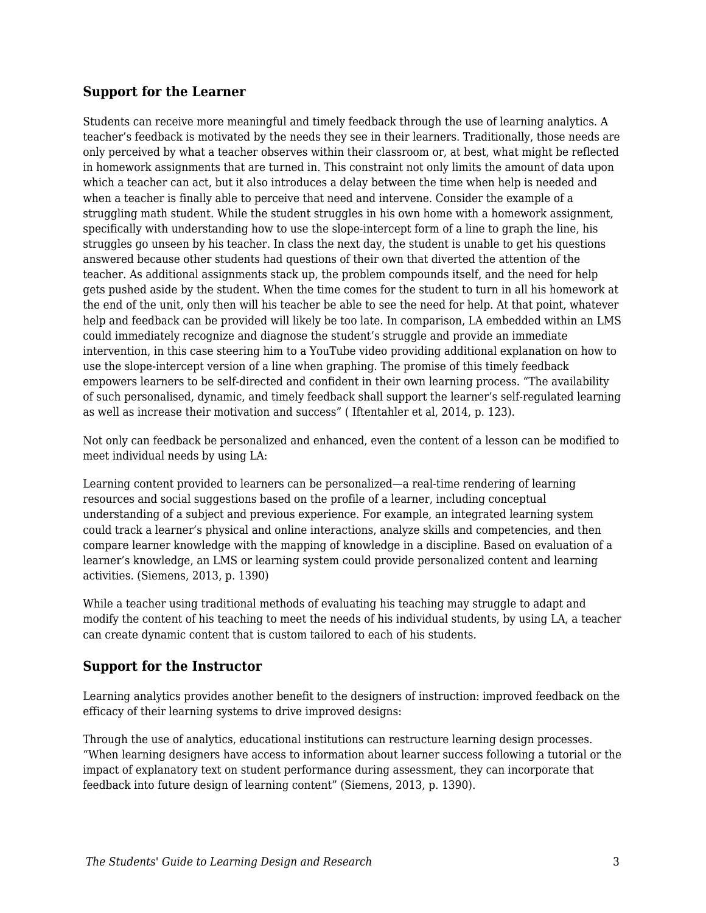#### **Support for the Learner**

Students can receive more meaningful and timely feedback through the use of learning analytics. A teacher's feedback is motivated by the needs they see in their learners. Traditionally, those needs are only perceived by what a teacher observes within their classroom or, at best, what might be reflected in homework assignments that are turned in. This constraint not only limits the amount of data upon which a teacher can act, but it also introduces a delay between the time when help is needed and when a teacher is finally able to perceive that need and intervene. Consider the example of a struggling math student. While the student struggles in his own home with a homework assignment, specifically with understanding how to use the slope-intercept form of a line to graph the line, his struggles go unseen by his teacher. In class the next day, the student is unable to get his questions answered because other students had questions of their own that diverted the attention of the teacher. As additional assignments stack up, the problem compounds itself, and the need for help gets pushed aside by the student. When the time comes for the student to turn in all his homework at the end of the unit, only then will his teacher be able to see the need for help. At that point, whatever help and feedback can be provided will likely be too late. In comparison, LA embedded within an LMS could immediately recognize and diagnose the student's struggle and provide an immediate intervention, in this case steering him to a YouTube video providing additional explanation on how to use the slope-intercept version of a line when graphing. The promise of this timely feedback empowers learners to be self-directed and confident in their own learning process. "The availability of such personalised, dynamic, and timely feedback shall support the learner's self-regulated learning as well as increase their motivation and success" ( Iftentahler et al, 2014, p. 123).

Not only can feedback be personalized and enhanced, even the content of a lesson can be modified to meet individual needs by using LA:

Learning content provided to learners can be personalized—a real-time rendering of learning resources and social suggestions based on the profile of a learner, including conceptual understanding of a subject and previous experience. For example, an integrated learning system could track a learner's physical and online interactions, analyze skills and competencies, and then compare learner knowledge with the mapping of knowledge in a discipline. Based on evaluation of a learner's knowledge, an LMS or learning system could provide personalized content and learning activities. (Siemens, 2013, p. 1390)

While a teacher using traditional methods of evaluating his teaching may struggle to adapt and modify the content of his teaching to meet the needs of his individual students, by using LA, a teacher can create dynamic content that is custom tailored to each of his students.

#### **Support for the Instructor**

Learning analytics provides another benefit to the designers of instruction: improved feedback on the efficacy of their learning systems to drive improved designs:

Through the use of analytics, educational institutions can restructure learning design processes. "When learning designers have access to information about learner success following a tutorial or the impact of explanatory text on student performance during assessment, they can incorporate that feedback into future design of learning content" (Siemens, 2013, p. 1390).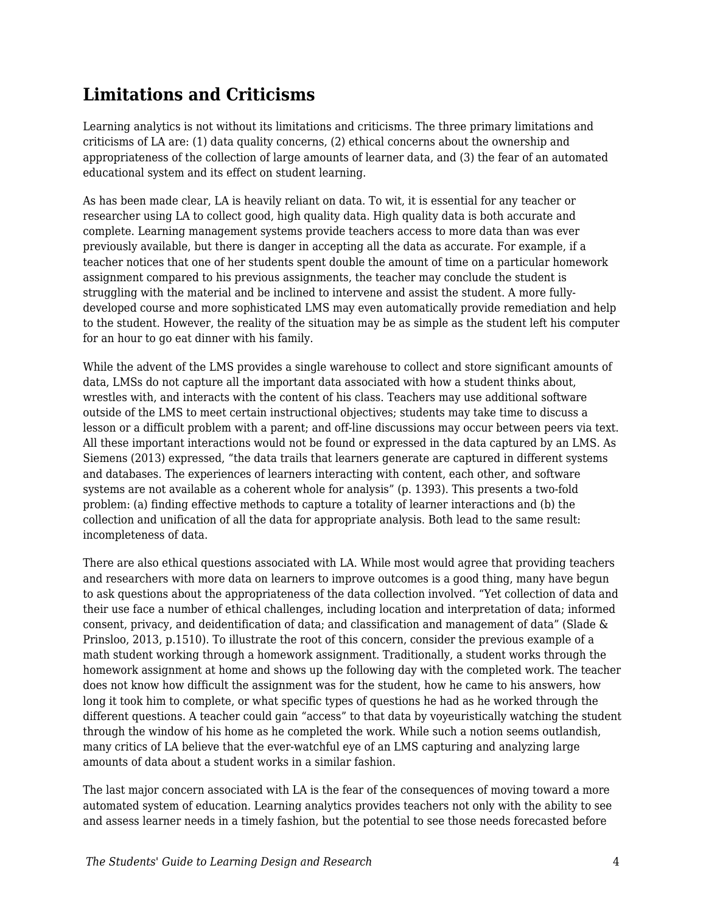# **Limitations and Criticisms**

Learning analytics is not without its limitations and criticisms. The three primary limitations and criticisms of LA are: (1) data quality concerns, (2) ethical concerns about the ownership and appropriateness of the collection of large amounts of learner data, and (3) the fear of an automated educational system and its effect on student learning.

As has been made clear, LA is heavily reliant on data. To wit, it is essential for any teacher or researcher using LA to collect good, high quality data. High quality data is both accurate and complete. Learning management systems provide teachers access to more data than was ever previously available, but there is danger in accepting all the data as accurate. For example, if a teacher notices that one of her students spent double the amount of time on a particular homework assignment compared to his previous assignments, the teacher may conclude the student is struggling with the material and be inclined to intervene and assist the student. A more fullydeveloped course and more sophisticated LMS may even automatically provide remediation and help to the student. However, the reality of the situation may be as simple as the student left his computer for an hour to go eat dinner with his family.

While the advent of the LMS provides a single warehouse to collect and store significant amounts of data, LMSs do not capture all the important data associated with how a student thinks about, wrestles with, and interacts with the content of his class. Teachers may use additional software outside of the LMS to meet certain instructional objectives; students may take time to discuss a lesson or a difficult problem with a parent; and off-line discussions may occur between peers via text. All these important interactions would not be found or expressed in the data captured by an LMS. As Siemens (2013) expressed, "the data trails that learners generate are captured in different systems and databases. The experiences of learners interacting with content, each other, and software systems are not available as a coherent whole for analysis" (p. 1393). This presents a two-fold problem: (a) finding effective methods to capture a totality of learner interactions and (b) the collection and unification of all the data for appropriate analysis. Both lead to the same result: incompleteness of data.

There are also ethical questions associated with LA. While most would agree that providing teachers and researchers with more data on learners to improve outcomes is a good thing, many have begun to ask questions about the appropriateness of the data collection involved. "Yet collection of data and their use face a number of ethical challenges, including location and interpretation of data; informed consent, privacy, and deidentification of data; and classification and management of data" (Slade & Prinsloo, 2013, p.1510). To illustrate the root of this concern, consider the previous example of a math student working through a homework assignment. Traditionally, a student works through the homework assignment at home and shows up the following day with the completed work. The teacher does not know how difficult the assignment was for the student, how he came to his answers, how long it took him to complete, or what specific types of questions he had as he worked through the different questions. A teacher could gain "access" to that data by voyeuristically watching the student through the window of his home as he completed the work. While such a notion seems outlandish, many critics of LA believe that the ever-watchful eye of an LMS capturing and analyzing large amounts of data about a student works in a similar fashion.

The last major concern associated with LA is the fear of the consequences of moving toward a more automated system of education. Learning analytics provides teachers not only with the ability to see and assess learner needs in a timely fashion, but the potential to see those needs forecasted before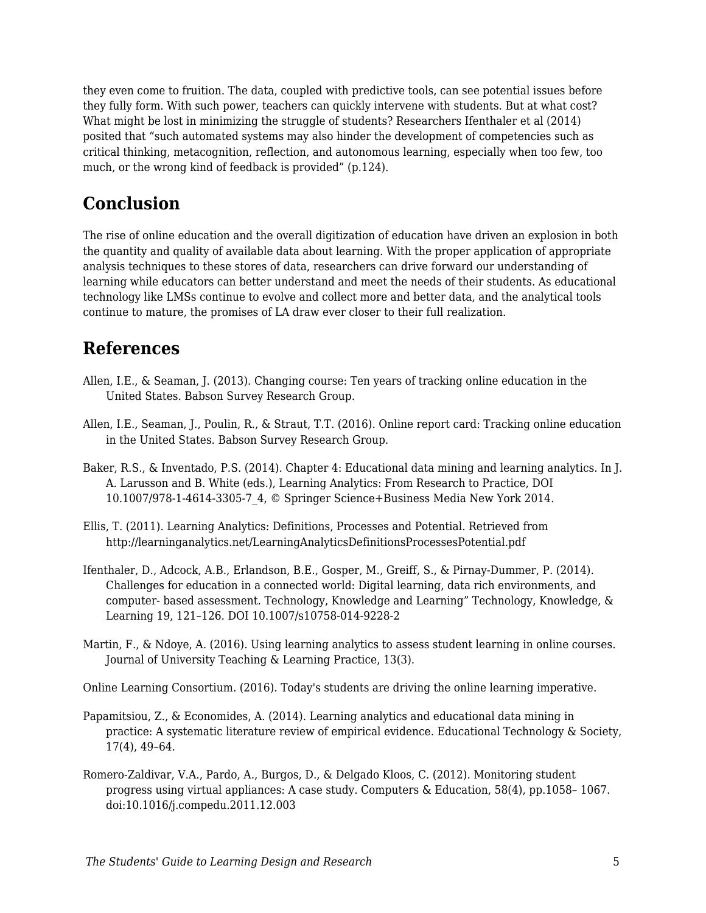they even come to fruition. The data, coupled with predictive tools, can see potential issues before they fully form. With such power, teachers can quickly intervene with students. But at what cost? What might be lost in minimizing the struggle of students? Researchers Ifenthaler et al (2014) posited that "such automated systems may also hinder the development of competencies such as critical thinking, metacognition, reflection, and autonomous learning, especially when too few, too much, or the wrong kind of feedback is provided" (p.124).

# **Conclusion**

The rise of online education and the overall digitization of education have driven an explosion in both the quantity and quality of available data about learning. With the proper application of appropriate analysis techniques to these stores of data, researchers can drive forward our understanding of learning while educators can better understand and meet the needs of their students. As educational technology like LMSs continue to evolve and collect more and better data, and the analytical tools continue to mature, the promises of LA draw ever closer to their full realization.

### **References**

- Allen, I.E., & Seaman, J. (2013). Changing course: Ten years of tracking online education in the United States. Babson Survey Research Group.
- Allen, I.E., Seaman, J., Poulin, R., & Straut, T.T. (2016). Online report card: Tracking online education in the United States. Babson Survey Research Group.
- Baker, R.S., & Inventado, P.S. (2014). Chapter 4: Educational data mining and learning analytics. In J. A. Larusson and B. White (eds.), Learning Analytics: From Research to Practice, DOI 10.1007/978-1-4614-3305-7\_4, © Springer Science+Business Media New York 2014.
- Ellis, T. (2011). Learning Analytics: Definitions, Processes and Potential. Retrieved from http://learninganalytics.net/LearningAnalyticsDefinitionsProcessesPotential.pdf
- Ifenthaler, D., Adcock, A.B., Erlandson, B.E., Gosper, M., Greiff, S., & Pirnay-Dummer, P. (2014). Challenges for education in a connected world: Digital learning, data rich environments, and computer- based assessment. Technology, Knowledge and Learning" Technology, Knowledge, & Learning 19, 121–126. DOI 10.1007/s10758-014-9228-2
- Martin, F., & Ndoye, A. (2016). Using learning analytics to assess student learning in online courses. Journal of University Teaching & Learning Practice, 13(3).

Online Learning Consortium. (2016). Today's students are driving the online learning imperative.

- Papamitsiou, Z., & Economides, A. (2014). Learning analytics and educational data mining in practice: A systematic literature review of empirical evidence. Educational Technology & Society, 17(4), 49–64.
- Romero-Zaldivar, V.A., Pardo, A., Burgos, D., & Delgado Kloos, C. (2012). Monitoring student progress using virtual appliances: A case study. Computers & Education, 58(4), pp.1058– 1067. doi:10.1016/j.compedu.2011.12.003